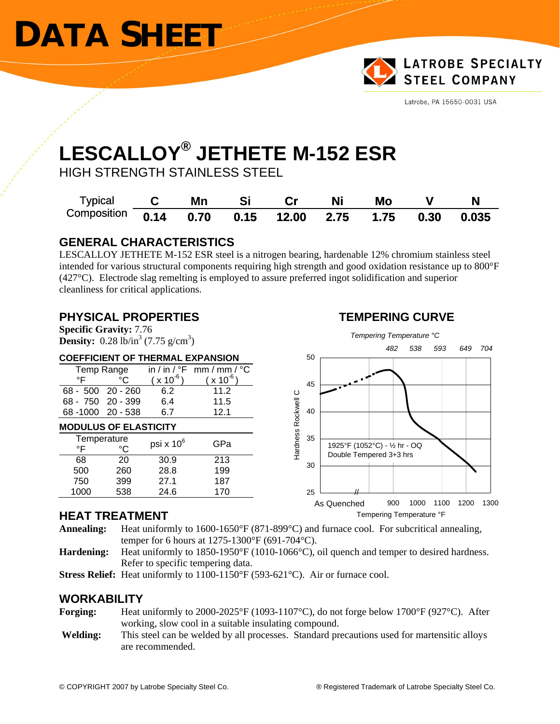# **DATA SHEET**



Latrobe, PA 15650-0031 USA

### **LESCALLOY® JETHETE M-152 ESR**

HIGH STRENGTH STAINLESS STEEL

| Typical                                         | Mn |  | Ni | Mo |       |
|-------------------------------------------------|----|--|----|----|-------|
| Composition 0.14 0.70 0.15 12.00 2.75 1.75 0.30 |    |  |    |    | 0.035 |

#### **GENERAL CHARACTERISTICS**

LESCALLOY JETHETE M-152 ESR steel is a nitrogen bearing, hardenable 12% chromium stainless steel intended for various structural components requiring high strength and good oxidation resistance up to 800°F (427°C). Electrode slag remelting is employed to assure preferred ingot solidification and superior cleanliness for critical applications.

#### **PHYSICAL PROPERTIES TEMPERING CURVE**

**Specific Gravity:** 7.76 **Density:**  $0.28 \text{ lb/in}^3 (7.75 \text{ g/cm}^3)$ 

#### **COEFFICIENT OF THERMAL EXPANSION**

|                              | Temp Range |               | in / in / ${}^{\circ}$ F mm / mm / ${}^{\circ}$ C |  |  |  |  |  |  |
|------------------------------|------------|---------------|---------------------------------------------------|--|--|--|--|--|--|
| °F                           | °C         | $(x 10^{-6})$ | $(x 10^{6})$                                      |  |  |  |  |  |  |
| 68 - 500 20 - 260            |            | 6.2           | 11.2                                              |  |  |  |  |  |  |
| 68 - 750 20 - 399            |            | 6.4           | 11.5                                              |  |  |  |  |  |  |
| 68-1000 20-538               |            | 6.7           | 12.1                                              |  |  |  |  |  |  |
| <b>MODULUS OF ELASTICITY</b> |            |               |                                                   |  |  |  |  |  |  |
| Temperature<br>°F            | °C         | psi x $10^6$  | GPa                                               |  |  |  |  |  |  |
| 68                           | 20         | 30.9          | 213                                               |  |  |  |  |  |  |

500 260 28.8 199 750 399 27.1 187 1000 538 24.6 170



#### **HEAT TREATMENT**

**Annealing:** Heat uniformly to 1600-1650°F (871-899°C) and furnace cool. For subcritical annealing, temper for 6 hours at 1275-1300°F (691-704°C).

- **Hardening:** Heat uniformly to 1850-1950°F (1010-1066°C), oil quench and temper to desired hardness. Refer to specific tempering data.
- **Stress Relief:** Heat uniformly to 1100-1150°F (593-621°C). Air or furnace cool.

#### **WORKABILITY**

- **Forging:** Heat uniformly to 2000-2025°F (1093-1107°C), do not forge below 1700°F (927°C). After working, slow cool in a suitable insulating compound.
- **Welding:** This steel can be welded by all processes. Standard precautions used for martensitic alloys are recommended.